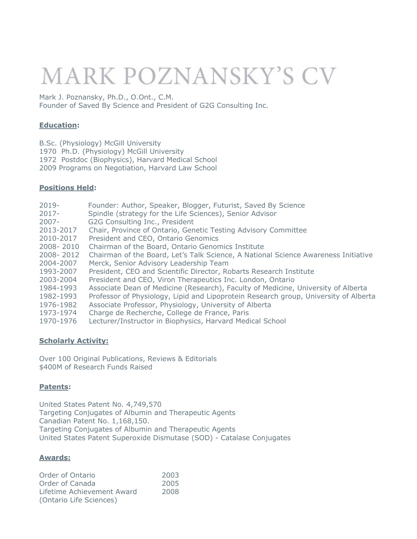## **MARK POZNANSKY'S CV**

Mark J. Poznansky, Ph.D., O.Ont., C.M. Founder of Saved By Science and President of G2G Consulting Inc.

### **Education:**

- B.Sc. (Physiology) McGill University
- 1970 Ph.D. (Physiology) McGill University
- 1972 Postdoc (Biophysics), Harvard Medical School
- 2009 Programs on Negotiation, Harvard Law School

#### **Positions Held:**

| $2019 -$  | Founder: Author, Speaker, Blogger, Futurist, Saved By Science                        |
|-----------|--------------------------------------------------------------------------------------|
| $2017 -$  | Spindle (strategy for the Life Sciences), Senior Advisor                             |
| $2007 -$  | G2G Consulting Inc., President                                                       |
| 2013-2017 | Chair, Province of Ontario, Genetic Testing Advisory Committee                       |
| 2010-2017 | President and CEO, Ontario Genomics                                                  |
| 2008-2010 | Chairman of the Board, Ontario Genomics Institute                                    |
| 2008-2012 | Chairman of the Board, Let's Talk Science, A National Science Awareness Initiative   |
| 2004-2007 | Merck, Senior Advisory Leadership Team                                               |
| 1993-2007 | President, CEO and Scientific Director, Robarts Research Institute                   |
| 2003-2004 | President and CEO, Viron Therapeutics Inc. London, Ontario                           |
| 1984-1993 | Associate Dean of Medicine (Research), Faculty of Medicine, University of Alberta    |
| 1982-1993 | Professor of Physiology, Lipid and Lipoprotein Research group, University of Alberta |
| 1976-1982 | Associate Professor, Physiology, University of Alberta                               |
| 1973-1974 | Charge de Recherche, College de France, Paris                                        |
| 1970-1976 | Lecturer/Instructor in Biophysics, Harvard Medical School                            |
|           |                                                                                      |

#### **Scholarly Activity:**

Over 100 Original Publications, Reviews & Editorials \$400M of Research Funds Raised

#### **Patents:**

United States Patent No. 4,749,570 Targeting Conjugates of Albumin and Therapeutic Agents Canadian Patent No. 1,168,150. Targeting Conjugates of Albumin and Therapeutic Agents United States Patent Superoxide Dismutase (SOD) - Catalase Conjugates

#### **Awards:**

| Order of Ontario           | 2003 |
|----------------------------|------|
| Order of Canada            | 2005 |
| Lifetime Achievement Award | 2008 |
| (Ontario Life Sciences)    |      |